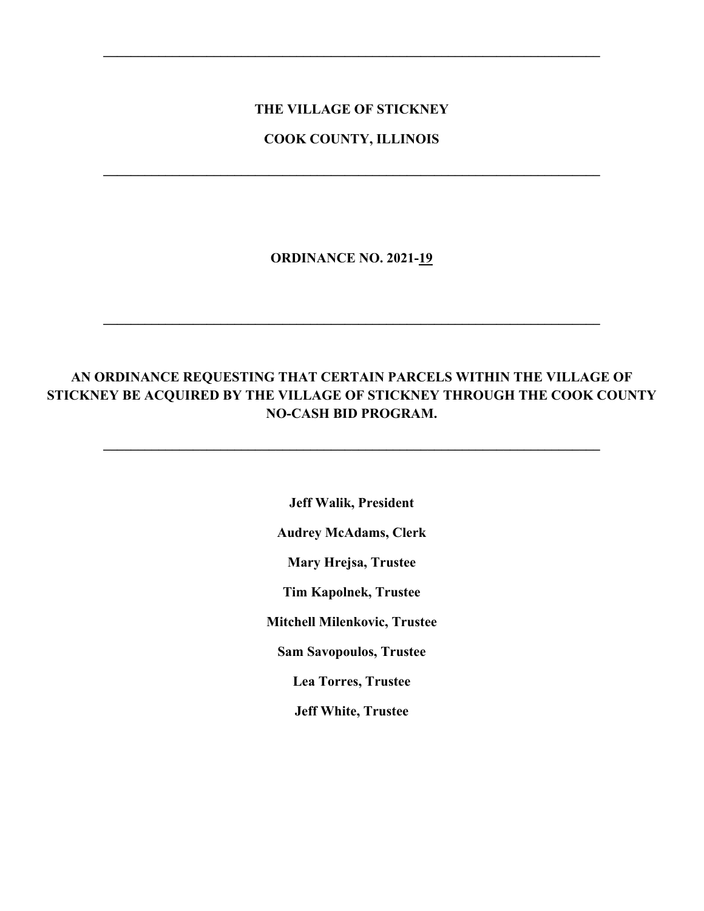## **THE VILLAGE OF STICKNEY**

**\_\_\_\_\_\_\_\_\_\_\_\_\_\_\_\_\_\_\_\_\_\_\_\_\_\_\_\_\_\_\_\_\_\_\_\_\_\_\_\_\_\_\_\_\_\_\_\_\_\_\_\_\_\_\_\_\_\_\_\_\_\_\_\_\_\_\_\_\_\_\_\_**

### **COOK COUNTY, ILLINOIS**

**\_\_\_\_\_\_\_\_\_\_\_\_\_\_\_\_\_\_\_\_\_\_\_\_\_\_\_\_\_\_\_\_\_\_\_\_\_\_\_\_\_\_\_\_\_\_\_\_\_\_\_\_\_\_\_\_\_\_\_\_\_\_\_\_\_\_\_\_\_\_\_\_**

**ORDINANCE NO. 2021-19**

**\_\_\_\_\_\_\_\_\_\_\_\_\_\_\_\_\_\_\_\_\_\_\_\_\_\_\_\_\_\_\_\_\_\_\_\_\_\_\_\_\_\_\_\_\_\_\_\_\_\_\_\_\_\_\_\_\_\_\_\_\_\_\_\_\_\_\_\_\_\_\_\_**

# **AN ORDINANCE REQUESTING THAT CERTAIN PARCELS WITHIN THE VILLAGE OF STICKNEY BE ACQUIRED BY THE VILLAGE OF STICKNEY THROUGH THE COOK COUNTY NO-CASH BID PROGRAM.**

**\_\_\_\_\_\_\_\_\_\_\_\_\_\_\_\_\_\_\_\_\_\_\_\_\_\_\_\_\_\_\_\_\_\_\_\_\_\_\_\_\_\_\_\_\_\_\_\_\_\_\_\_\_\_\_\_\_\_\_\_\_\_\_\_\_\_\_\_\_\_\_\_**

**Jeff Walik, President Audrey McAdams, Clerk Mary Hrejsa, Trustee Tim Kapolnek, Trustee Mitchell Milenkovic, Trustee Sam Savopoulos, Trustee Lea Torres, Trustee Jeff White, Trustee**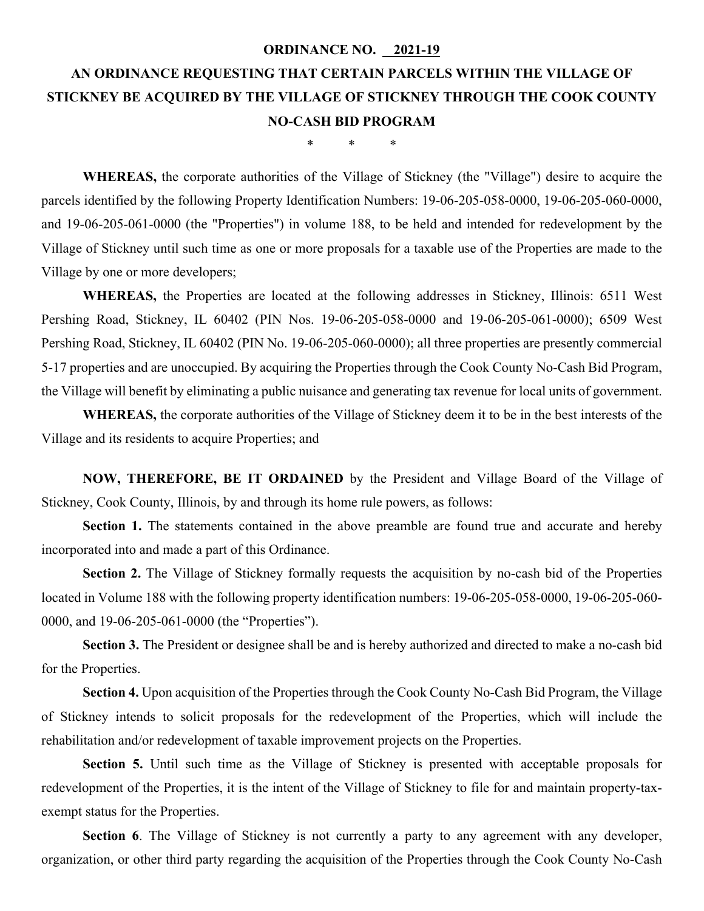#### **ORDINANCE NO. 2021-19**

# **AN ORDINANCE REQUESTING THAT CERTAIN PARCELS WITHIN THE VILLAGE OF STICKNEY BE ACQUIRED BY THE VILLAGE OF STICKNEY THROUGH THE COOK COUNTY NO-CASH BID PROGRAM**

\* \* \*

**WHEREAS,** the corporate authorities of the Village of Stickney (the "Village") desire to acquire the parcels identified by the following Property Identification Numbers: 19-06-205-058-0000, 19-06-205-060-0000, and 19-06-205-061-0000 (the "Properties") in volume 188, to be held and intended for redevelopment by the Village of Stickney until such time as one or more proposals for a taxable use of the Properties are made to the Village by one or more developers;

**WHEREAS,** the Properties are located at the following addresses in Stickney, Illinois: 6511 West Pershing Road, Stickney, IL 60402 (PIN Nos. 19-06-205-058-0000 and 19-06-205-061-0000); 6509 West Pershing Road, Stickney, IL 60402 (PIN No. 19-06-205-060-0000); all three properties are presently commercial 5-17 properties and are unoccupied. By acquiring the Properties through the Cook County No-Cash Bid Program, the Village will benefit by eliminating a public nuisance and generating tax revenue for local units of government.

**WHEREAS,** the corporate authorities of the Village of Stickney deem it to be in the best interests of the Village and its residents to acquire Properties; and

**NOW, THEREFORE, BE IT ORDAINED** by the President and Village Board of the Village of Stickney, Cook County, Illinois, by and through its home rule powers, as follows:

Section 1. The statements contained in the above preamble are found true and accurate and hereby incorporated into and made a part of this Ordinance.

**Section 2.** The Village of Stickney formally requests the acquisition by no-cash bid of the Properties located in Volume 188 with the following property identification numbers: 19-06-205-058-0000, 19-06-205-060- 0000, and 19-06-205-061-0000 (the "Properties").

Section 3. The President or designee shall be and is hereby authorized and directed to make a no-cash bid for the Properties.

**Section 4.** Upon acquisition of the Properties through the Cook County No-Cash Bid Program, the Village of Stickney intends to solicit proposals for the redevelopment of the Properties, which will include the rehabilitation and/or redevelopment of taxable improvement projects on the Properties.

**Section 5.** Until such time as the Village of Stickney is presented with acceptable proposals for redevelopment of the Properties, it is the intent of the Village of Stickney to file for and maintain property-taxexempt status for the Properties.

**Section 6**. The Village of Stickney is not currently a party to any agreement with any developer, organization, or other third party regarding the acquisition of the Properties through the Cook County No-Cash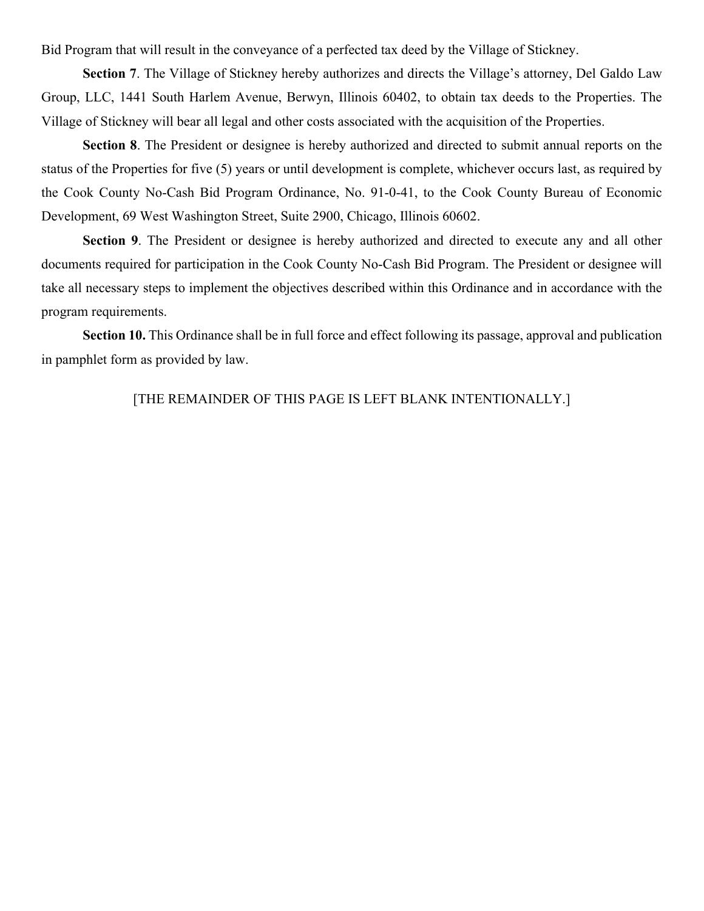Bid Program that will result in the conveyance of a perfected tax deed by the Village of Stickney.

**Section 7**. The Village of Stickney hereby authorizes and directs the Village's attorney, Del Galdo Law Group, LLC, 1441 South Harlem Avenue, Berwyn, Illinois 60402, to obtain tax deeds to the Properties. The Village of Stickney will bear all legal and other costs associated with the acquisition of the Properties.

**Section 8**. The President or designee is hereby authorized and directed to submit annual reports on the status of the Properties for five (5) years or until development is complete, whichever occurs last, as required by the Cook County No-Cash Bid Program Ordinance, No. 91-0-41, to the Cook County Bureau of Economic Development, 69 West Washington Street, Suite 2900, Chicago, Illinois 60602.

**Section 9**. The President or designee is hereby authorized and directed to execute any and all other documents required for participation in the Cook County No-Cash Bid Program. The President or designee will take all necessary steps to implement the objectives described within this Ordinance and in accordance with the program requirements.

**Section 10.** This Ordinance shall be in full force and effect following its passage, approval and publication in pamphlet form as provided by law.

[THE REMAINDER OF THIS PAGE IS LEFT BLANK INTENTIONALLY.]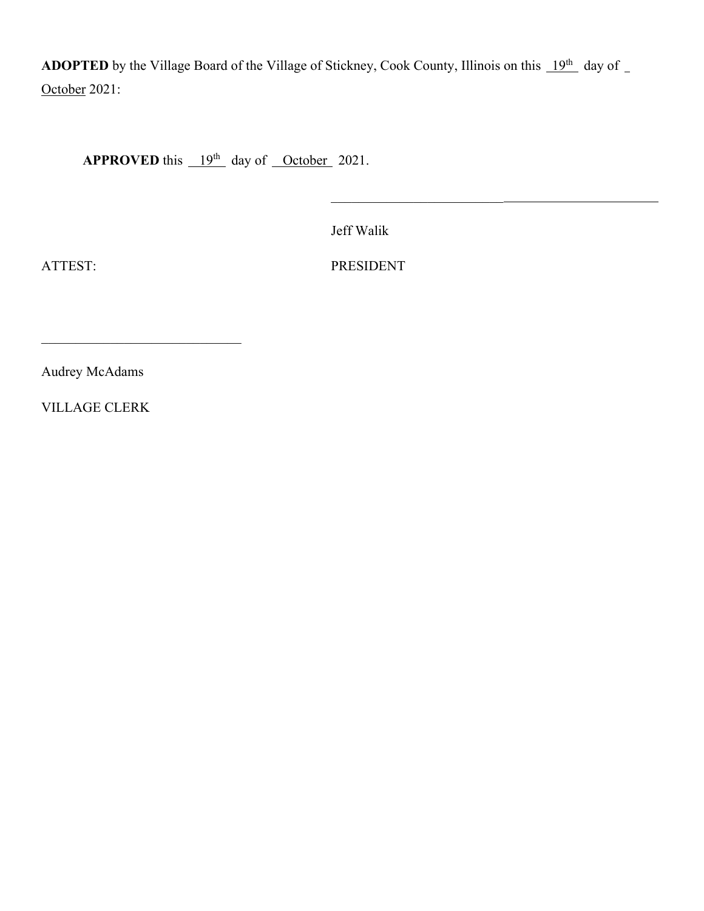**ADOPTED** by the Village Board of the Village of Stickney, Cook County, Illinois on this  $19^{th}$  day of \_ October 2021:

**APPROVED** this  $19<sup>th</sup>$  day of October 2021.

Jeff Walik

ATTEST: PRESIDENT

\_\_\_\_\_\_\_\_\_\_\_\_\_\_\_\_\_\_\_\_\_\_\_\_\_

Audrey McAdams

 $\mathcal{L}_\mathcal{L}$  , which is a set of the set of the set of the set of the set of the set of the set of the set of the set of the set of the set of the set of the set of the set of the set of the set of the set of the set of

VILLAGE CLERK